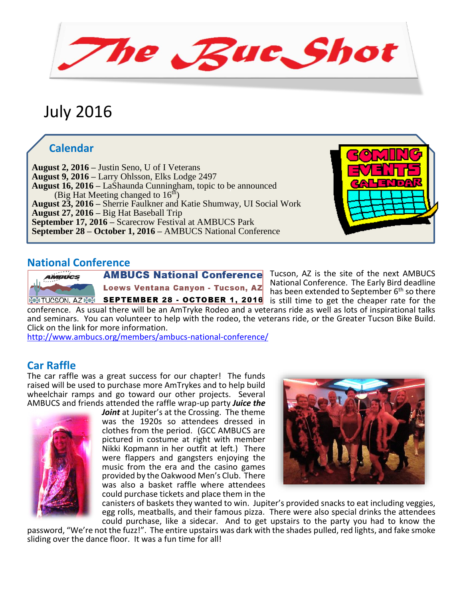he Rue Shot

# July 2016

## **Calendar**

**August 16, 2016 –** LaShaunda Cunningham, topic to be announced  **August 2, 2016 –** Justin Seno, U of I Veterans  **August 9, 2016 –** Larry Ohlsson, Elks Lodge 2497 (Big Hat Meeting changed to  $16<sup>th</sup>$ )  **August 23, 2016 –** Sherrie Faulkner and Katie Shumway, UI Social Work  **August 27, 2016 –** Big Hat Baseball Trip  **September 17, 2016 –** Scarecrow Festival at AMBUCS Park **September 28 – October 1, 2016 –** AMBUCS National Conference



Tucson, AZ is the site of the next AMBUCS National Conference. The Early Bird deadline has been extended to September  $6<sup>th</sup>$  so there

conference. As usual there will be an AmTryke Rodeo and a veterans ride as well as lots of inspirational talks and seminars. You can volunteer to help with the rodeo, the veterans ride, or the Greater Tucson Bike Build. Click on the link for more information.

<http://www.ambucs.org/members/ambucs-national-conference/>

### **Car Raffle**

The car raffle was a great success for our chapter! The funds raised will be used to purchase more AmTrykes and to help build wheelchair ramps and go toward our other projects. Several AMBUCS and friends attended the raffle wrap-up party *Juice the* 



*Joint* at Jupiter's at the Crossing. The theme was the 1920s so attendees dressed in clothes from the period. (GCC AMBUCS are pictured in costume at right with member Nikki Kopmann in her outfit at left.) There were flappers and gangsters enjoying the music from the era and the casino games provided by the Oakwood Men's Club. There was also a basket raffle where attendees could purchase tickets and place them in the



canisters of baskets they wanted to win. Jupiter's provided snacks to eat including veggies, egg rolls, meatballs, and their famous pizza. There were also special drinks the attendees could purchase, like a sidecar. And to get upstairs to the party you had to know the

password, "We're not the fuzz!". The entire upstairs was dark with the shades pulled, red lights, and fake smoke sliding over the dance floor. It was a fun time for all!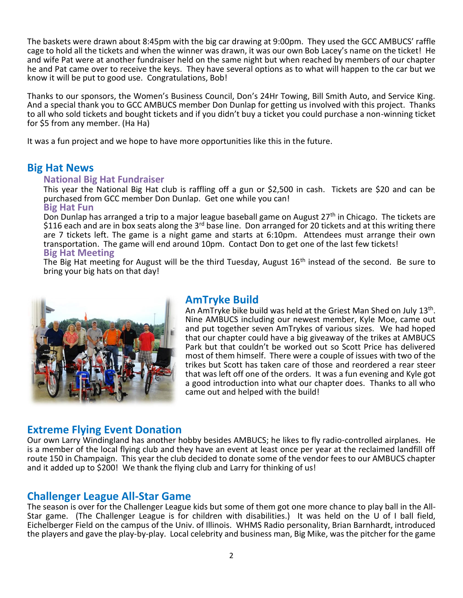The baskets were drawn about 8:45pm with the big car drawing at 9:00pm. They used the GCC AMBUCS' raffle cage to hold all the tickets and when the winner was drawn, it was our own Bob Lacey's name on the ticket! He and wife Pat were at another fundraiser held on the same night but when reached by members of our chapter he and Pat came over to receive the keys. They have several options as to what will happen to the car but we know it will be put to good use. Congratulations, Bob!

Thanks to our sponsors, the Women's Business Council, Don's 24Hr Towing, Bill Smith Auto, and Service King. And a special thank you to GCC AMBUCS member Don Dunlap for getting us involved with this project. Thanks to all who sold tickets and bought tickets and if you didn't buy a ticket you could purchase a non-winning ticket for \$5 from any member. (Ha Ha)

It was a fun project and we hope to have more opportunities like this in the future.

#### **Big Hat News**

#### **National Big Hat Fundraiser**

This year the National Big Hat club is raffling off a gun or \$2,500 in cash. Tickets are \$20 and can be purchased from GCC member Don Dunlap. Get one while you can!

#### **Big Hat Fun**

Don Dunlap has arranged a trip to a major league baseball game on August 27<sup>th</sup> in Chicago. The tickets are \$116 each and are in box seats along the 3<sup>rd</sup> base line. Don arranged for 20 tickets and at this writing there are 7 tickets left. The game is a night game and starts at 6:10pm. Attendees must arrange their own transportation. The game will end around 10pm. Contact Don to get one of the last few tickets! **Big Hat Meeting**

The Big Hat meeting for August will be the third Tuesday, August 16<sup>th</sup> instead of the second. Be sure to bring your big hats on that day!



#### **AmTryke Build**

An AmTryke bike build was held at the Griest Man Shed on July 13<sup>th</sup>. Nine AMBUCS including our newest member, Kyle Moe, came out and put together seven AmTrykes of various sizes. We had hoped that our chapter could have a big giveaway of the trikes at AMBUCS Park but that couldn't be worked out so Scott Price has delivered most of them himself. There were a couple of issues with two of the trikes but Scott has taken care of those and reordered a rear steer that was left off one of the orders. It was a fun evening and Kyle got a good introduction into what our chapter does. Thanks to all who came out and helped with the build!

#### **Extreme Flying Event Donation**

Our own Larry Windingland has another hobby besides AMBUCS; he likes to fly radio-controlled airplanes. He is a member of the local flying club and they have an event at least once per year at the reclaimed landfill off route 150 in Champaign. This year the club decided to donate some of the vendor fees to our AMBUCS chapter and it added up to \$200! We thank the flying club and Larry for thinking of us!

#### **Challenger League All-Star Game**

The season is over for the Challenger League kids but some of them got one more chance to play ball in the All-Star game. (The Challenger League is for children with disabilities.) It was held on the U of I ball field, Eichelberger Field on the campus of the Univ. of Illinois. WHMS Radio personality, Brian Barnhardt, introduced the players and gave the play-by-play. Local celebrity and business man, Big Mike, was the pitcher for the game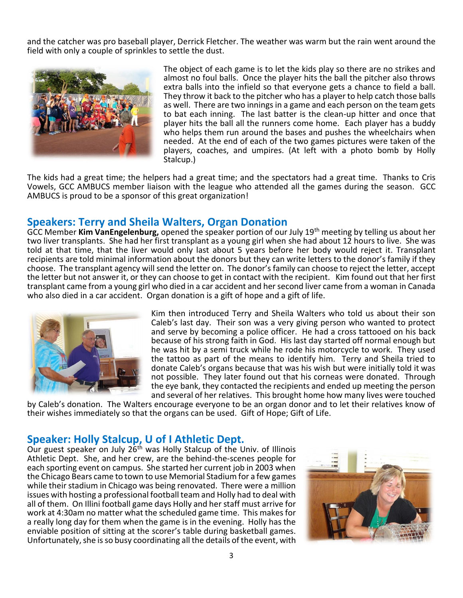and the catcher was pro baseball player, Derrick Fletcher. The weather was warm but the rain went around the field with only a couple of sprinkles to settle the dust.



The object of each game is to let the kids play so there are no strikes and almost no foul balls. Once the player hits the ball the pitcher also throws extra balls into the infield so that everyone gets a chance to field a ball. They throw it back to the pitcher who has a player to help catch those balls as well. There are two innings in a game and each person on the team gets to bat each inning. The last batter is the clean-up hitter and once that player hits the ball all the runners come home. Each player has a buddy who helps them run around the bases and pushes the wheelchairs when needed. At the end of each of the two games pictures were taken of the players, coaches, and umpires. (At left with a photo bomb by Holly Stalcup.)

The kids had a great time; the helpers had a great time; and the spectators had a great time. Thanks to Cris Vowels, GCC AMBUCS member liaison with the league who attended all the games during the season. GCC AMBUCS is proud to be a sponsor of this great organization!

#### **Speakers: Terry and Sheila Walters, Organ Donation**

GCC Member **Kim VanEngelenburg,** opened the speaker portion of our July 19th meeting by telling us about her two liver transplants. She had her first transplant as a young girl when she had about 12 hours to live. She was told at that time, that the liver would only last about 5 years before her body would reject it. Transplant recipients are told minimal information about the donors but they can write letters to the donor's family if they choose. The transplant agency will send the letter on. The donor's family can choose to reject the letter, accept the letter but not answer it, or they can choose to get in contact with the recipient. Kim found out that her first transplant came from a young girl who died in a car accident and her second liver came from a woman in Canada who also died in a car accident. Organ donation is a gift of hope and a gift of life.



Kim then introduced Terry and Sheila Walters who told us about their son Caleb's last day. Their son was a very giving person who wanted to protect and serve by becoming a police officer. He had a cross tattooed on his back because of his strong faith in God. His last day started off normal enough but he was hit by a semi truck while he rode his motorcycle to work. They used the tattoo as part of the means to identify him. Terry and Sheila tried to donate Caleb's organs because that was his wish but were initially told it was not possible. They later found out that his corneas were donated. Through the eye bank, they contacted the recipients and ended up meeting the person and several of her relatives. This brought home how many lives were touched

by Caleb's donation. The Walters encourage everyone to be an organ donor and to let their relatives know of their wishes immediately so that the organs can be used. Gift of Hope; Gift of Life.

#### **Speaker: Holly Stalcup, U of I Athletic Dept.**

Our guest speaker on July 26<sup>th</sup> was Holly Stalcup of the Univ. of Illinois Athletic Dept. She, and her crew, are the behind-the-scenes people for each sporting event on campus. She started her current job in 2003 when the Chicago Bears came to town to use Memorial Stadium for a few games while their stadium in Chicago was being renovated. There were a million issues with hosting a professional football team and Holly had to deal with all of them. On Illini football game days Holly and her staff must arrive for work at 4:30am no matter what the scheduled game time. This makes for a really long day for them when the game is in the evening. Holly has the enviable position of sitting at the scorer's table during basketball games. Unfortunately, she is so busy coordinating all the details of the event, with